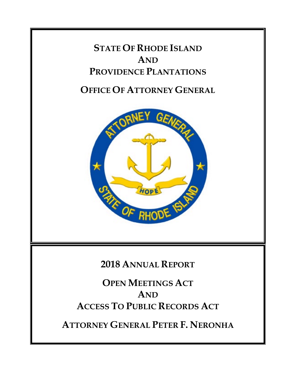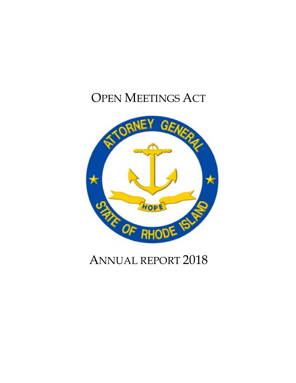# OPEN MEETINGS ACT



# ANNUAL REPORT 2018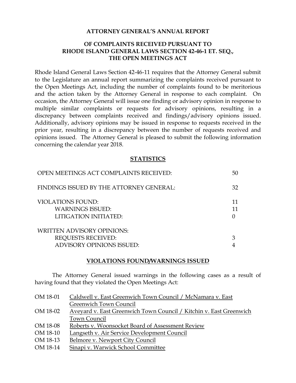#### **ATTORNEY GENERAL'S ANNUAL REPORT**

# **OF COMPLAINTS RECEIVED PURSUANT TO RHODE ISLAND GENERAL LAWS SECTION 42-46-1 ET. SEQ., THE OPEN MEETINGS ACT**

Rhode Island General Laws Section 42-46-11 requires that the Attorney General submit to the Legislature an annual report summarizing the complaints received pursuant to the Open Meetings Act, including the number of complaints found to be meritorious and the action taken by the Attorney General in response to each complaint. On occasion, the Attorney General will issue one finding or advisory opinion in response to multiple similar complaints or requests for advisory opinions, resulting in a discrepancy between complaints received and findings/advisory opinions issued. Additionally, advisory opinions may be issued in response to requests received in the prior year, resulting in a discrepancy between the number of requests received and opinions issued. The Attorney General is pleased to submit the following information concerning the calendar year 2018.

#### **STATISTICS**

| OPEN MEETINGS ACT COMPLAINTS RECEIVED:                                       | 50 |
|------------------------------------------------------------------------------|----|
| FINDINGS ISSUED BY THE ATTORNEY GENERAL:                                     | 32 |
| <b>VIOLATIONS FOUND:</b><br><b>WARNINGS ISSUED:</b><br>LITIGATION INITIATED: |    |
| <b>WRITTEN ADVISORY OPINIONS:</b>                                            |    |
| <b>REQUESTS RECEIVED:</b>                                                    |    |
| <b>ADVISORY OPINIONS ISSUED:</b>                                             |    |

#### **VIOLATIONS FOUND/WARNINGS ISSUED**

The Attorney General issued warnings in the following cases as a result of having found that they violated the Open Meetings Act:

| OM 18-01 | Caldwell v. East Greenwich Town Council / McNamara v. East         |
|----------|--------------------------------------------------------------------|
|          | Greenwich Town Council                                             |
| OM 18-02 | Aveyard v. East Greenwich Town Council / Kitchin v. East Greenwich |
|          | Town Council                                                       |
| OM 18-08 | Roberts v. Woonsocket Board of Assessment Review                   |
| OM 18-10 | Langseth v. Air Service Development Council                        |
| OM 18-13 | Belmore v. Newport City Council                                    |
| OM 18-14 | Sinapi v. Warwick School Committee                                 |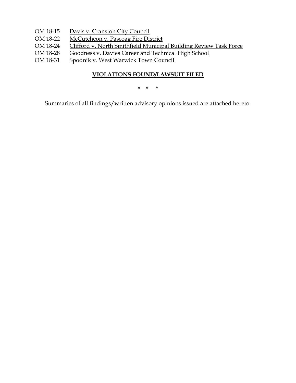- OM 18-15 Davis v. Cranston City Council
- OM 18-22 McCutcheon v. Pascoag Fire District
- OM 18-24 Clifford v. North Smithfield Municipal Building Review Task Force
- OM 18-28 Goodness v. Davies Career and Technical High School
- OM 18-31 Spodnik v. West Warwick Town Council

# **VIOLATIONS FOUND/LAWSUIT FILED**

\* \* \*

Summaries of all findings/written advisory opinions issued are attached hereto.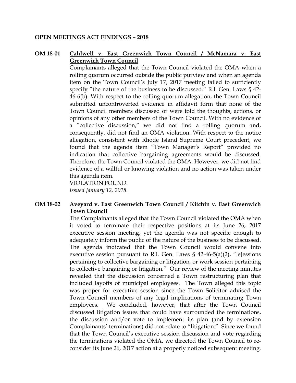#### **OPEN MEETINGS ACT FINDINGS – 2018**

# **OM 18-01 Caldwell v. East Greenwich Town Council / McNamara v. East Greenwich Town Council**

Complainants alleged that the Town Council violated the OMA when a rolling quorum occurred outside the public purview and when an agenda item on the Town Council's July 17, 2017 meeting failed to sufficiently specify "the nature of the business to be discussed." R.I. Gen. Laws § 42- 46-6(b). With respect to the rolling quorum allegation, the Town Council submitted uncontroverted evidence in affidavit form that none of the Town Council members discussed or were told the thoughts, actions, or opinions of any other members of the Town Council. With no evidence of a "collective discussion," we did not find a rolling quorum and, consequently, did not find an OMA violation. With respect to the notice allegation, consistent with Rhode Island Supreme Court precedent, we found that the agenda item "Town Manager's Report" provided no indication that collective bargaining agreements would be discussed. Therefore, the Town Council violated the OMA. However, we did not find evidence of a willful or knowing violation and no action was taken under this agenda item.

VIOLATION FOUND. *Issued January 12, 2018.*

## **OM 18-02 Aveyard v. East Greenwich Town Council / Kitchin v. East Greenwich Town Council**

The Complainants alleged that the Town Council violated the OMA when it voted to terminate their respective positions at its June 26, 2017 executive session meeting, yet the agenda was not specific enough to adequately inform the public of the nature of the business to be discussed. The agenda indicated that the Town Council would convene into executive session pursuant to R.I. Gen. Laws § 42-46-5(a)(2), "[s]essions pertaining to collective bargaining or litigation, or work session pertaining to collective bargaining or litigation." Our review of the meeting minutes revealed that the discussion concerned a Town restructuring plan that included layoffs of municipal employees. The Town alleged this topic was proper for executive session since the Town Solicitor advised the Town Council members of any legal implications of terminating Town employees. We concluded, however, that after the Town Council discussed litigation issues that could have surrounded the terminations, the discussion and/or vote to implement its plan (and by extension Complainants' terminations) did not relate to "litigation." Since we found that the Town Council's executive session discussion and vote regarding the terminations violated the OMA, we directed the Town Council to reconsider its June 26, 2017 action at a properly noticed subsequent meeting.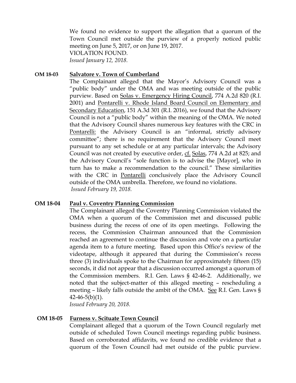We found no evidence to support the allegation that a quorum of the Town Council met outside the purview of a properly noticed public meeting on June 5, 2017, or on June 19, 2017. VIOLATION FOUND.

*Issued January 12, 2018.* 

## **OM 18-03 Salvatore v. Town of Cumberland**

The Complainant alleged that the Mayor's Advisory Council was a "public body" under the OMA and was meeting outside of the public purview. Based on Solas v. Emergency Hiring Council, 774 A.2d 820 (R.I. 2001) and Pontarelli v. Rhode Island Board Council on Elementary and Secondary Education, 151 A.3d 301 (R.I. 2016), we found that the Advisory Council is not a "public body" within the meaning of the OMA. We noted that the Advisory Council shares numerous key features with the CRC in Pontarelli: the Advisory Council is an "informal, strictly advisory committee"; there is no requirement that the Advisory Council meet pursuant to any set schedule or at any particular intervals; the Advisory Council was not created by executive order, cf. Solas, 774 A.2d at 825; and the Advisory Council's "sole function is to advise the [Mayor], who in turn has to make a recommendation to the council." These similarities with the CRC in Pontarelli conclusively place the Advisory Council outside of the OMA umbrella. Therefore, we found no violations. *Issued February 19, 2018.*

## **OM 18-04 Paul v. Coventry Planning Commission**

The Complainant alleged the Coventry Planning Commission violated the OMA when a quorum of the Commission met and discussed public business during the recess of one of its open meetings. Following the recess, the Commission Chairman announced that the Commission reached an agreement to continue the discussion and vote on a particular agenda item to a future meeting. Based upon this Office's review of the videotape, although it appeared that during the Commission's recess three (3) individuals spoke to the Chairman for approximately fifteen (15) seconds, it did not appear that a discussion occurred amongst a quorum of the Commission members. R.I. Gen. Laws § 42-46-2. Additionally, we noted that the subject-matter of this alleged meeting – rescheduling a meeting – likely falls outside the ambit of the OMA. See R.I. Gen. Laws §  $42-46-5(b)(1)$ .

*Issued February 20, 2018.*

## **OM 18-05 Furness v. Scituate Town Council**

Complainant alleged that a quorum of the Town Council regularly met outside of scheduled Town Council meetings regarding public business. Based on corroborated affidavits, we found no credible evidence that a quorum of the Town Council had met outside of the public purview.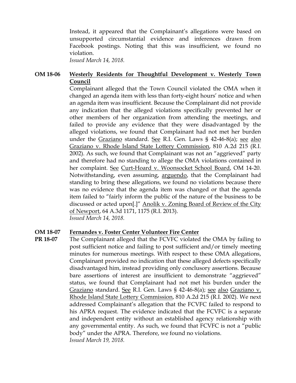Instead, it appeared that the Complainant's allegations were based on unsupported circumstantial evidence and inferences drawn from Facebook postings. Noting that this was insufficient, we found no violation.

*Issued March 14, 2018.*

# **OM 18-06 Westerly Residents for Thoughtful Development v. Westerly Town Council**

Complainant alleged that the Town Council violated the OMA when it changed an agenda item with less than forty-eight hours' notice and when an agenda item was insufficient. Because the Complainant did not provide any indication that the alleged violations specifically prevented her or other members of her organization from attending the meetings, and failed to provide any evidence that they were disadvantaged by the alleged violations, we found that Complainant had not met her burden under the Graziano standard. See R.I. Gen. Laws § 42-46-8(a); see also Graziano v. Rhode Island State Lottery Commission, 810 A.2d 215 (R.I. 2002). As such, we found that Complainant was not an "aggrieved" party and therefore had no standing to allege the OMA violations contained in her complaint. See Curt-Hoard v. Woonsocket School Board, OM 14-20. Notwithstanding, even assuming, arguendo, that the Complainant had standing to bring these allegations, we found no violations because there was no evidence that the agenda item was changed or that the agenda item failed to "fairly inform the public of the nature of the business to be discussed or acted upon[.]" Anolik v. Zoning Board of Review of the City of Newport, 64 A.3d 1171, 1175 (R.I. 2013). *Issued March 14, 2018.*

## **OM 18-07 Fernandes v. Foster Center Volunteer Fire Center**

**PR 18-07** The Complainant alleged that the FCVFC violated the OMA by failing to post sufficient notice and failing to post sufficient and/or timely meeting minutes for numerous meetings. With respect to these OMA allegations, Complainant provided no indication that these alleged defects specifically disadvantaged him, instead providing only conclusory assertions. Because bare assertions of interest are insufficient to demonstrate "aggrieved" status, we found that Complainant had not met his burden under the Graziano standard. See R.I. Gen. Laws § 42-46-8(a); see also Graziano v. Rhode Island State Lottery Commission, 810 A.2d 215 (R.I. 2002). We next addressed Complainant's allegation that the FCVFC failed to respond to his APRA request. The evidence indicated that the FCVFC is a separate and independent entity without an established agency relationship with any governmental entity. As such, we found that FCVFC is not a "public body" under the APRA. Therefore, we found no violations. *Issued March 19, 2018.*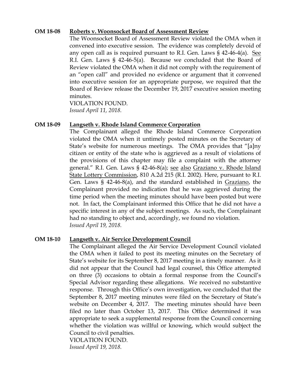## **OM 18-08 Roberts v. Woonsocket Board of Assessment Review**

The Woonsocket Board of Assessment Review violated the OMA when it convened into executive session. The evidence was completely devoid of any open call as is required pursuant to R.I. Gen. Laws § 42-46-4(a). See R.I. Gen. Laws § 42-46-5(a). Because we concluded that the Board of Review violated the OMA when it did not comply with the requirement of an "open call" and provided no evidence or argument that it convened into executive session for an appropriate purpose, we required that the Board of Review release the December 19, 2017 executive session meeting minutes.

VIOLATION FOUND. *Issued April 11, 2018.*

#### **OM 18-09 Langseth v. Rhode Island Commerce Corporation**

The Complainant alleged the Rhode Island Commerce Corporation violated the OMA when it untimely posted minutes on the Secretary of State's website for numerous meetings. The OMA provides that "[a]ny citizen or entity of the state who is aggrieved as a result of violations of the provisions of this chapter may file a complaint with the attorney general." R.I. Gen. Laws § 42-46-8(a); see also Graziano v. Rhode Island State Lottery Commission, 810 A.2d 215 (R.I. 2002). Here, pursuant to R.I. Gen. Laws § 42-46-8(a), and the standard established in Graziano, the Complainant provided no indication that he was aggrieved during the time period when the meeting minutes should have been posted but were not. In fact, the Complainant informed this Office that he did not have a specific interest in any of the subject meetings. As such, the Complainant had no standing to object and, accordingly, we found no violation. *Issued April 19, 2018.*

#### **OM 18-10 Langseth v. Air Service Development Council**

The Complainant alleged the Air Service Development Council violated the OMA when it failed to post its meeting minutes on the Secretary of State's website for its September 8, 2017 meeting in a timely manner. As it did not appear that the Council had legal counsel, this Office attempted on three (3) occasions to obtain a formal response from the Council's Special Advisor regarding these allegations. We received no substantive response. Through this Office's own investigation, we concluded that the September 8, 2017 meeting minutes were filed on the Secretary of State's website on December 4, 2017. The meeting minutes should have been filed no later than October 13, 2017. This Office determined it was appropriate to seek a supplemental response from the Council concerning whether the violation was willful or knowing, which would subject the Council to civil penalties.

VIOLATION FOUND. *Issued April 19, 2018.*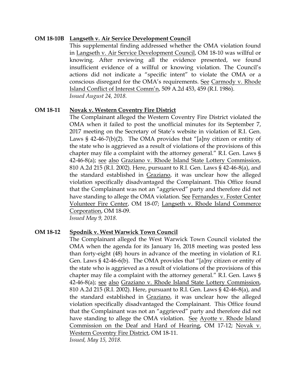## **OM 18-10B Langseth v. Air Service Development Council**

This supplemental finding addressed whether the OMA violation found in Langseth v. Air Service Development Council, OM 18-10 was willful or knowing. After reviewing all the evidence presented, we found insufficient evidence of a willful or knowing violation. The Council's actions did not indicate a "specific intent" to violate the OMA or a conscious disregard for the OMA's requirements. See Carmody v. Rhode Island Conflict of Interest Comm'n, 509 A.2d 453, 459 (R.I. 1986). *Issued August 24, 2018.*

## **OM 18-11 Novak v. Western Coventry Fire District**

The Complainant alleged the Western Coventry Fire District violated the OMA when it failed to post the unofficial minutes for its September 7, 2017 meeting on the Secretary of State's website in violation of R.I. Gen. Laws  $\S$  42-46-7(b)(2). The OMA provides that "[a]ny citizen or entity of the state who is aggrieved as a result of violations of the provisions of this chapter may file a complaint with the attorney general." R.I. Gen. Laws § 42-46-8(a); see also Graziano v. Rhode Island State Lottery Commission, 810 A.2d 215 (R.I. 2002). Here, pursuant to R.I. Gen. Laws § 42-46-8(a), and the standard established in Graziano, it was unclear how the alleged violation specifically disadvantaged the Complainant. This Office found that the Complainant was not an "aggrieved" party and therefore did not have standing to allege the OMA violation. See Fernandes v. Foster Center Volunteer Fire Center, OM 18-07; Langseth v. Rhode Island Commerce Corporation, OM 18-09.

*Issued May 9, 2018.*

## **OM 18-12 Spodnik v. West Warwick Town Council**

The Complainant alleged the West Warwick Town Council violated the OMA when the agenda for its January 16, 2018 meeting was posted less than forty-eight (48) hours in advance of the meeting in violation of R.I. Gen. Laws § 42-46-6(b). The OMA provides that "[a]ny citizen or entity of the state who is aggrieved as a result of violations of the provisions of this chapter may file a complaint with the attorney general." R.I. Gen. Laws § 42-46-8(a); see also Graziano v. Rhode Island State Lottery Commission, 810 A.2d 215 (R.I. 2002). Here, pursuant to R.I. Gen. Laws § 42-46-8(a), and the standard established in Graziano, it was unclear how the alleged violation specifically disadvantaged the Complainant. This Office found that the Complainant was not an "aggrieved" party and therefore did not have standing to allege the OMA violation. See Ayotte v. Rhode Island Commission on the Deaf and Hard of Hearing, OM 17-12; Novak v. Western Coventry Fire District, OM 18-11.

*Issued, May 15, 2018.*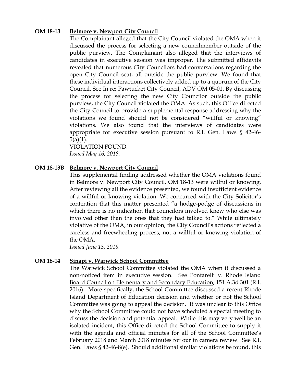## **OM 18-13 Belmore v. Newport City Council**

The Complainant alleged that the City Council violated the OMA when it discussed the process for selecting a new councilmember outside of the public purview. The Complainant also alleged that the interviews of candidates in executive session was improper. The submitted affidavits revealed that numerous City Councilors had conversations regarding the open City Council seat, all outside the public purview. We found that these individual interactions collectively added up to a quorum of the City Council. See In re: Pawtucket City Council, ADV OM 05-01. By discussing the process for selecting the new City Councilor outside the public purview, the City Council violated the OMA. As such, this Office directed the City Council to provide a supplemental response addressing why the violations we found should not be considered "willful or knowing" violations. We also found that the interviews of candidates were appropriate for executive session pursuant to R.I. Gen. Laws § 42-46- 5(a)(1).

VIOLATION FOUND. *Issued May 16, 2018.*

#### **OM 18-13B Belmore v. Newport City Council**

This supplemental finding addressed whether the OMA violations found in Belmore v. Newport City Council, OM 18-13 were willful or knowing. After reviewing all the evidence presented, we found insufficient evidence of a willful or knowing violation. We concurred with the City Solicitor's contention that this matter presented "a hodge-podge of discussions in which there is no indication that councilors involved knew who else was involved other than the ones that they had talked to." While ultimately violative of the OMA, in our opinion, the City Council's actions reflected a careless and freewheeling process, not a willful or knowing violation of the OMA.

*Issued June 13, 2018.*

#### **OM 18-14 Sinapi v. Warwick School Committee**

The Warwick School Committee violated the OMA when it discussed a non-noticed item in executive session. See Pontarelli v. Rhode Island Board Council on Elementary and Secondary Education, 151 A.3d 301 (R.I. 2016). More specifically, the School Committee discussed a recent Rhode Island Department of Education decision and whether or not the School Committee was going to appeal the decision. It was unclear to this Office why the School Committee could not have scheduled a special meeting to discuss the decision and potential appeal. While this may very well be an isolated incident, this Office directed the School Committee to supply it with the agenda and official minutes for all of the School Committee's February 2018 and March 2018 minutes for our in camera review. See R.I. Gen. Laws § 42-46-8(e). Should additional similar violations be found, this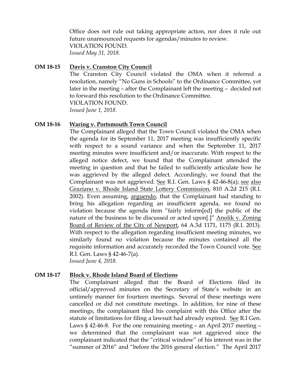Office does not rule out taking appropriate action, nor does it rule out future unannounced requests for agendas/minutes to review. VIOLATION FOUND. *Issued May 31, 2018.*

## **OM 18-15 Davis v. Cranston City Council**

The Cranston City Council violated the OMA when it referred a resolution, namely "No Guns in Schools" to the Ordinance Committee, yet later in the meeting – after the Complainant left the meeting – decided not to forward this resolution to the Ordinance Committee. VIOLATION FOUND.

*Issued June 1, 2018.*

#### **OM 18-16 Waring v. Portsmouth Town Council**

The Complainant alleged that the Town Council violated the OMA when the agenda for its September 11, 2017 meeting was insufficiently specific with respect to a sound variance and when the September 11, 2017 meeting minutes were insufficient and/or inaccurate. With respect to the alleged notice defect, we found that the Complainant attended the meeting in question and that he failed to sufficiently articulate how he was aggrieved by the alleged defect. Accordingly, we found that the Complainant was not aggrieved. See R.I. Gen. Laws § 42-46-8(a); see also Graziano v. Rhode Island State Lottery Commission, 810 A.2d 215 (R.I. 2002). Even assuming, arguendo, that the Complainant had standing to bring his allegation regarding an insufficient agenda, we found no violation because the agenda item "fairly inform[ed] the public of the nature of the business to be discussed or acted upon[.]" Anolik v. Zoning Board of Review of the City of Newport, 64 A.3d 1171, 1175 (R.I. 2013). With respect to the allegation regarding insufficient meeting minutes, we similarly found no violation because the minutes contained all the requisite information and accurately recorded the Town Council vote. See R.I. Gen. Laws § 42-46-7(a). *Issued June 4, 2018.*

## **OM 18-17 Block v. Rhode Island Board of Elections**

The Complainant alleged that the Board of Elections filed its official/approved minutes on the Secretary of State's website in an untimely manner for fourteen meetings. Several of these meetings were cancelled or did not constitute meetings. In addition, for nine of these meetings, the complainant filed his complaint with this Office after the statute of limitations for filing a lawsuit had already expired. See R.I Gen. Laws § 42-46-8. For the one remaining meeting – an April 2017 meeting – we determined that the complainant was not aggrieved since the complainant indicated that the "critical window" of his interest was in the "summer of 2016" and "before the 2016 general election." The April 2017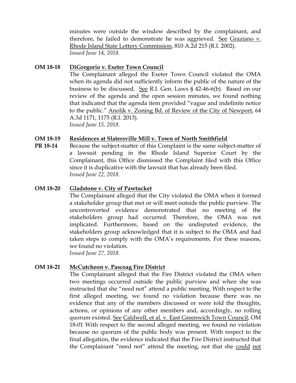minutes were outside the window described by the complainant, and therefore, he failed to demonstrate he was aggrieved. See Graziano v. Rhode Island State Lottery Commission, 810 A.2d 215 (R.I. 2002). *Issued June 14, 2018.*

## **OM 18-18 DiGregorio v. Exeter Town Council**

The Complainant alleged the Exeter Town Council violated the OMA when its agenda did not sufficiently inform the public of the nature of the business to be discussed. See R.I. Gen. Laws § 42-46-6(b). Based on our review of the agenda and the open session minutes, we found nothing that indicated that the agenda item provided "vague and indefinite notice to the public." Anolik v. Zoning Bd. of Review of the City of Newport, 64 A.3d 1171, 1175 (R.I. 2013). *Issued June 15, 2018.*

## **OM 18-19 Residences at Slatersville Mill v. Town of North Smithfield**

**PR 18-14** Because the subject-matter of this Complaint is the same subject-matter of a lawsuit pending in the Rhode Island Superior Court by the Complainant, this Office dismissed the Complaint filed with this Office since it is duplicative with the lawsuit that has already been filed. *Issued June 22, 2018.*

## **OM 18-20 Gladstone v. City of Pawtucket**

The Complainant alleged that the City violated the OMA when it formed a stakeholder group that met or will meet outside the public purview. The uncontroverted evidence demonstrated that no meeting of the stakeholders group had occurred. Therefore, the OMA was not implicated. Furthermore, based on the undisputed evidence, the stakeholders group acknowledged that it is subject to the OMA and had taken steps to comply with the OMA's requirements. For these reasons, we found no violation. *Issued June 27, 2018.*

# **OM 18-21 McCutcheon v. Pascoag Fire District**

The Complainant alleged that the Fire District violated the OMA when two meetings occurred outside the public purview and when she was instructed that she "need not" attend a public meeting. With respect to the first alleged meeting, we found no violation because there was no evidence that any of the members discussed or were told the thoughts, actions, or opinions of any other members and, accordingly, no rolling quorum existed. See Caldwell, et al. v. East Greenwich Town Council, OM 18-01 With respect to the second alleged meeting, we found no violation because no quorum of the public body was present. With respect to the final allegation, the evidence indicated that the Fire District instructed that the Complainant "need not" attend the meeting, not that she could not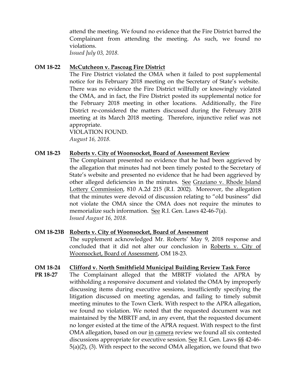attend the meeting. We found no evidence that the Fire District barred the Complainant from attending the meeting. As such, we found no violations.

*Issued July 03, 2018.*

## **OM 18-22 McCutcheon v. Pascoag Fire District**

The Fire District violated the OMA when it failed to post supplemental notice for its February 2018 meeting on the Secretary of State's website. There was no evidence the Fire District willfully or knowingly violated the OMA, and in fact, the Fire District posted its supplemental notice for the February 2018 meeting in other locations. Additionally, the Fire District re-considered the matters discussed during the February 2018 meeting at its March 2018 meeting. Therefore, injunctive relief was not appropriate.

VIOLATION FOUND. *August 16, 2018.*

## **OM 18-23 Roberts v. City of Woonsocket, Board of Assessment Review**

The Complainant presented no evidence that he had been aggrieved by the allegation that minutes had not been timely posted to the Secretary of State's website and presented no evidence that he had been aggrieved by other alleged deficiencies in the minutes. See Graziano v. Rhode Island Lottery Commission, 810 A.2d 215 (R.I. 2002). Moreover, the allegation that the minutes were devoid of discussion relating to "old business" did not violate the OMA since the OMA does not require the minutes to memorialize such information. See R.I. Gen. Laws 42-46-7(a). *Issued August 16, 2018.*

## **OM 18-23B Roberts v. City of Woonsocket, Board of Assessment**

The supplement acknowledged Mr. Roberts' May 9, 2018 response and concluded that it did not alter our conclusion in Roberts v. City of Woonsocket, Board of Assessment, OM 18-23.

## **OM 18-24 Clifford v. North Smithfield Municipal Building Review Task Force**

**PR 18-27** The Complainant alleged that the MBRTF violated the APRA by withholding a responsive document and violated the OMA by improperly discussing items during executive sessions, insufficiently specifying the litigation discussed on meeting agendas, and failing to timely submit meeting minutes to the Town Clerk. With respect to the APRA allegation, we found no violation. We noted that the requested document was not maintained by the MBRTF and, in any event, that the requested document no longer existed at the time of the APRA request. With respect to the first OMA allegation, based on our in camera review we found all six contested discussions appropriate for executive session. See R.I. Gen. Laws §§ 42-46- 5(a)(2), (3). With respect to the second OMA allegation, we found that two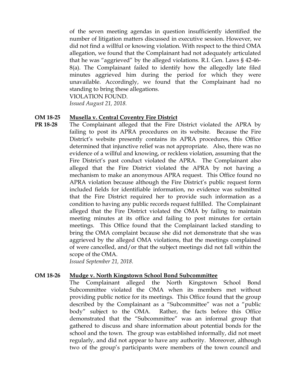of the seven meeting agendas in question insufficiently identified the number of litigation matters discussed in executive session. However, we did not find a willful or knowing violation. With respect to the third OMA allegation, we found that the Complainant had not adequately articulated that he was "aggrieved" by the alleged violations. R.I. Gen. Laws § 42-46- 8(a). The Complainant failed to identify how the allegedly late filed minutes aggrieved him during the period for which they were unavailable. Accordingly, we found that the Complainant had no standing to bring these allegations.

VIOLATION FOUND.

*Issued August 21, 2018.*

#### **OM 18-25 Musella v. Central Coventry Fire District**

**PR 18-28** The Complainant alleged that the Fire District violated the APRA by failing to post its APRA procedures on its website. Because the Fire District's website presently contains its APRA procedures, this Office determined that injunctive relief was not appropriate. Also, there was no evidence of a willful and knowing, or reckless violation, assuming that the Fire District's past conduct violated the APRA. The Complainant also alleged that the Fire District violated the APRA by not having a mechanism to make an anonymous APRA request. This Office found no APRA violation because although the Fire District's public request form included fields for identifiable information, no evidence was submitted that the Fire District required her to provide such information as a condition to having any public records request fulfilled. The Complainant alleged that the Fire District violated the OMA by failing to maintain meeting minutes at its office and failing to post minutes for certain meetings. This Office found that the Complainant lacked standing to bring the OMA complaint because she did not demonstrate that she was aggrieved by the alleged OMA violations, that the meetings complained of were cancelled, and/or that the subject meetings did not fall within the scope of the OMA.

*Issued September 21, 2018.*

#### **OM 18-26 Mudge v. North Kingstown School Bond Subcommittee**

The Complainant alleged the North Kingstown School Bond Subcommittee violated the OMA when its members met without providing public notice for its meetings. This Office found that the group described by the Complainant as a "Subcommittee" was not a "public body" subject to the OMA. Rather, the facts before this Office demonstrated that the "Subcommittee" was an informal group that gathered to discuss and share information about potential bonds for the school and the town. The group was established informally, did not meet regularly, and did not appear to have any authority. Moreover, although two of the group's participants were members of the town council and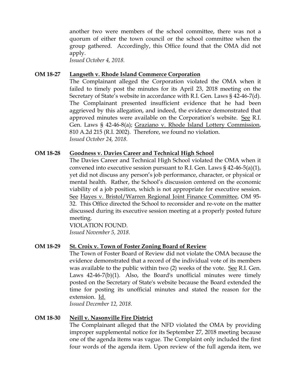another two were members of the school committee, there was not a quorum of either the town council or the school committee when the group gathered. Accordingly, this Office found that the OMA did not apply.

*Issued October 4, 2018.*

## **OM 18-27 Langseth v. Rhode Island Commerce Corporation**

The Complainant alleged the Corporation violated the OMA when it failed to timely post the minutes for its April 23, 2018 meeting on the Secretary of State's website in accordance with R.I. Gen. Laws § 42-46-7(d). The Complainant presented insufficient evidence that he had been aggrieved by this allegation, and indeed, the evidence demonstrated that approved minutes were available on the Corporation's website. See R.I. Gen. Laws § 42-46-8(a); Graziano v. Rhode Island Lottery Commission, 810 A.2d 215 (R.I. 2002). Therefore, we found no violation. *Issued October 24, 2018.*

## **OM 18-28 Goodness v. Davies Career and Technical High School**

The Davies Career and Technical High School violated the OMA when it convened into executive session pursuant to R.I. Gen. Laws  $\S$  42-46-5(a)(1), yet did not discuss any person's job performance, character, or physical or mental health. Rather, the School's discussion centered on the economic viability of a job position, which is not appropriate for executive session. See Hayes v. Bristol/Warren Regional Joint Finance Committee, OM 95- 32. This Office directed the School to reconsider and re-vote on the matter discussed during its executive session meeting at a properly posted future meeting.

VIOLATION FOUND. *Issued November 5, 2018.*

# **OM 18-29 St. Croix v. Town of Foster Zoning Board of Review**

The Town of Foster Board of Review did not violate the OMA because the evidence demonstrated that a record of the individual vote of its members was available to the public within two  $(2)$  weeks of the vote. See R.I. Gen. Laws 42-46-7(b)(1). Also, the Board's unofficial minutes were timely posted on the Secretary of State's website because the Board extended the time for posting its unofficial minutes and stated the reason for the extension. Id.

*Issued December 12, 2018.*

# **OM 18-30 Neill v. Nasonville Fire District**

The Complainant alleged that the NFD violated the OMA by providing improper supplemental notice for its September 27, 2018 meeting because one of the agenda items was vague. The Complaint only included the first four words of the agenda item. Upon review of the full agenda item, we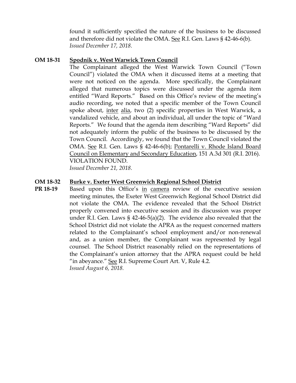found it sufficiently specified the nature of the business to be discussed and therefore did not violate the OMA. See R.I. Gen. Laws § 42-46-6(b). *Issued December 17, 2018.*

## **OM 18-31 Spodnik v. West Warwick Town Council**

The Complainant alleged the West Warwick Town Council ("Town Council") violated the OMA when it discussed items at a meeting that were not noticed on the agenda. More specifically, the Complainant alleged that numerous topics were discussed under the agenda item entitled "Ward Reports." Based on this Office's review of the meeting's audio recording, we noted that a specific member of the Town Council spoke about, inter alia, two (2) specific properties in West Warwick, a vandalized vehicle, and about an individual, all under the topic of "Ward Reports." We found that the agenda item describing "Ward Reports" did not adequately inform the public of the business to be discussed by the Town Council. Accordingly, we found that the Town Council violated the OMA. See R.I. Gen. Laws § 42-46-6(b); Pontarelli v. Rhode Island Board Council on Elementary and Secondary Education, 151 A.3d 301 (R.I. 2016). VIOLATION FOUND.

*Issued December 21, 2018.*

## **OM 18-32 Burke v. Exeter West Greenwich Regional School District**

**PR 18-19** Based upon this Office's in camera review of the executive session meeting minutes, the Exeter West Greenwich Regional School District did not violate the OMA. The evidence revealed that the School District properly convened into executive session and its discussion was proper under R.I. Gen. Laws § 42-46-5(a)(2). The evidence also revealed that the School District did not violate the APRA as the request concerned matters related to the Complainant's school employment and/or non-renewal and, as a union member, the Complainant was represented by legal counsel. The School District reasonably relied on the representations of the Complainant's union attorney that the APRA request could be held "in abeyance." See R.I. Supreme Court Art. V, Rule 4.2. *Issued August 6, 2018.*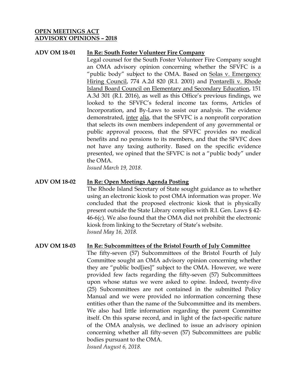## **OPEN MEETINGS ACT ADVISORY OPINIONS – 2018**

## **ADV OM 18-01 In Re: South Foster Volunteer Fire Company**

Legal counsel for the South Foster Volunteer Fire Company sought an OMA advisory opinion concerning whether the SFVFC is a "public body" subject to the OMA. Based on Solas v. Emergency Hiring Council, 774 A.2d 820 (R.I. 2001) and Pontarelli v. Rhode Island Board Council on Elementary and Secondary Education, 151 A.3d 301 (R.I. 2016), as well as this Office's previous findings, we looked to the SFVFC's federal income tax forms, Articles of Incorporation, and By-Laws to assist our analysis. The evidence demonstrated, inter alia, that the SFVFC is a nonprofit corporation that selects its own members independent of any governmental or public approval process, that the SFVFC provides no medical benefits and no pensions to its members, and that the SFVFC does not have any taxing authority. Based on the specific evidence presented, we opined that the SFVFC is not a "public body" under the OMA.

*Issued March 19, 2018.*

#### **ADV OM 18-02 In Re: Open Meetings Agenda Posting**

The Rhode Island Secretary of State sought guidance as to whether using an electronic kiosk to post OMA information was proper. We concluded that the proposed electronic kiosk that is physically present outside the State Library complies with R.I. Gen. Laws § 42- 46-6(c). We also found that the OMA did not prohibit the electronic kiosk from linking to the Secretary of State's website. *Issued May 16, 2018.*

## **ADV OM 18-03 In Re: Subcommittees of the Bristol Fourth of July Committee**

The fifty-seven (57) Subcommittees of the Bristol Fourth of July Committee sought an OMA advisory opinion concerning whether they are "public bod[ies]" subject to the OMA. However, we were provided few facts regarding the fifty-seven (57) Subcommittees upon whose status we were asked to opine. Indeed, twenty-five (25) Subcommittees are not contained in the submitted Policy Manual and we were provided no information concerning these entities other than the name of the Subcommittee and its members. We also had little information regarding the parent Committee itself. On this sparse record, and in light of the fact-specific nature of the OMA analysis, we declined to issue an advisory opinion concerning whether all fifty-seven (57) Subcommittees are public bodies pursuant to the OMA.

*Issued August 6, 2018.*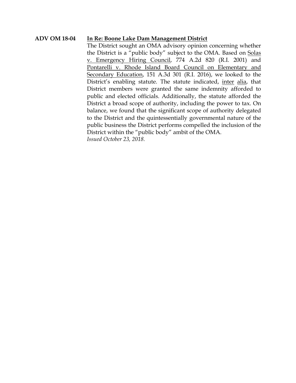## **ADV OM 18-04 In Re: Boone Lake Dam Management District**

The District sought an OMA advisory opinion concerning whether the District is a "public body" subject to the OMA. Based on Solas v. Emergency Hiring Council, 774 A.2d 820 (R.I. 2001) and Pontarelli v. Rhode Island Board Council on Elementary and Secondary Education, 151 A.3d 301 (R.I. 2016), we looked to the District's enabling statute. The statute indicated, inter alia, that District members were granted the same indemnity afforded to public and elected officials. Additionally, the statute afforded the District a broad scope of authority, including the power to tax. On balance, we found that the significant scope of authority delegated to the District and the quintessentially governmental nature of the public business the District performs compelled the inclusion of the District within the "public body" ambit of the OMA. *Issued October 23, 2018.*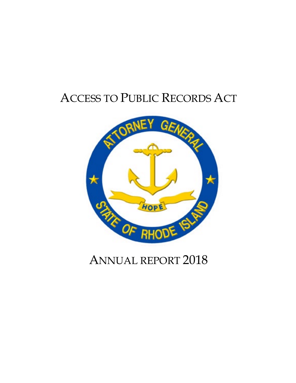# ACCESS TO PUBLIC RECORDS ACT



# ANNUAL REPORT 2018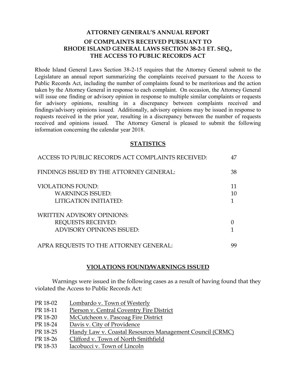# **ATTORNEY GENERAL'S ANNUAL REPORT OF COMPLAINTS RECEIVED PURSUANT TO RHODE ISLAND GENERAL LAWS SECTION 38-2-1 ET. SEQ., THE ACCESS TO PUBLIC RECORDS ACT**

Rhode Island General Laws Section 38-2-15 requires that the Attorney General submit to the Legislature an annual report summarizing the complaints received pursuant to the Access to Public Records Act, including the number of complaints found to be meritorious and the action taken by the Attorney General in response to each complaint. On occasion, the Attorney General will issue one finding or advisory opinion in response to multiple similar complaints or requests for advisory opinions, resulting in a discrepancy between complaints received and findings/advisory opinions issued. Additionally, advisory opinions may be issued in response to requests received in the prior year, resulting in a discrepancy between the number of requests received and opinions issued. The Attorney General is pleased to submit the following information concerning the calendar year 2018.

#### **STATISTICS**

| ACCESS TO PUBLIC RECORDS ACT COMPLAINTS RECEIVED:                                                  | 47 |
|----------------------------------------------------------------------------------------------------|----|
| FINDINGS ISSUED BY THE ATTORNEY GENERAL:                                                           | 38 |
| <b>VIOLATIONS FOUND:</b><br><b>WARNINGS ISSUED:</b><br>LITIGATION INITIATED:                       | 10 |
| <b>WRITTEN ADVISORY OPINIONS:</b><br><b>REQUESTS RECEIVED:</b><br><b>ADVISORY OPINIONS ISSUED:</b> |    |
| APRA REQUESTS TO THE ATTORNEY GENERAL:                                                             |    |

#### **VIOLATIONS FOUND/WARNINGS ISSUED**

Warnings were issued in the following cases as a result of having found that they violated the Access to Public Records Act:

- PR 18-02 Lombardo v. Town of Westerly
- PR 18-11 Pierson v. Central Coventry Fire District
- PR 18-20 McCutcheon v. Pascoag Fire District
- PR 18-24 Davis v. City of Providence
- PR 18-25 Handy Law v. Coastal Resources Management Council (CRMC)
- PR 18-26 Clifford v. Town of North Smithfield
- PR 18-33 Iacobucci v. Town of Lincoln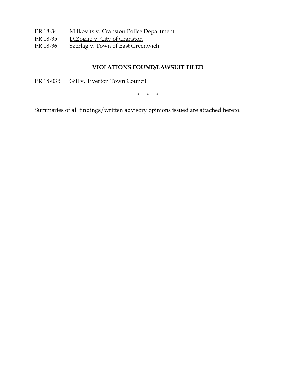- PR 18-34 Milkovits v. Cranston Police Department
- PR 18-35 DiZoglio v. City of Cranston
- PR 18-36 Szerlag v. Town of East Greenwich

# **VIOLATIONS FOUND/LAWSUIT FILED**

PR 18-03B Gill v. Tiverton Town Council

\* \* \*

Summaries of all findings/written advisory opinions issued are attached hereto.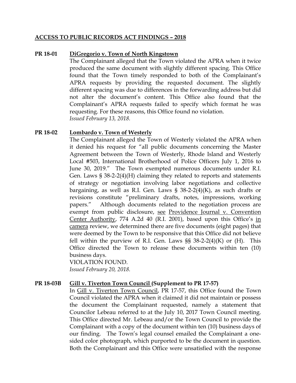## **ACCESS TO PUBLIC RECORDS ACT FINDINGS – 2018**

## **PR 18-01 DiGregorio v. Town of North Kingstown**

The Complainant alleged that the Town violated the APRA when it twice produced the same document with slightly different spacing. This Office found that the Town timely responded to both of the Complainant's APRA requests by providing the requested document. The slightly different spacing was due to differences in the forwarding address but did not alter the document's content. This Office also found that the Complainant's APRA requests failed to specify which format he was requesting. For these reasons, this Office found no violation. *Issued February 13, 2018.*

#### **PR 18-02 Lombardo v. Town of Westerly**

The Complainant alleged the Town of Westerly violated the APRA when it denied his request for "all public documents concerning the Master Agreement between the Town of Westerly, Rhode Island and Westerly Local #503, International Brotherhood of Police Officers July 1, 2016 to June 30, 2019." The Town exempted numerous documents under R.I. Gen. Laws § 38-2-2(4)(H) claiming they related to reports and statements of strategy or negotiation involving labor negotiations and collective bargaining, as well as R.I. Gen. Laws  $\S$  38-2-2(4)(K), as such drafts or revisions constitute "preliminary drafts, notes, impressions, working papers." Although documents related to the negotiation process are exempt from public disclosure, see Providence Journal v. Convention Center Authority, 774 A.2d 40 (R.I. 2001), based upon this Office's in camera review, we determined there are five documents (eight pages) that were deemed by the Town to be responsive that this Office did not believe fell within the purview of R.I. Gen. Laws  $\S$ § 38-2-2(4)(K) or (H). This Office directed the Town to release these documents within ten (10) business days.

VIOLATION FOUND. *Issued February 20, 2018.*

## **PR 18-03B Gill v. Tiverton Town Council (Supplement to PR 17-57)**

In Gill v. Tiverton Town Council, PR 17-57, this Office found the Town Council violated the APRA when it claimed it did not maintain or possess the document the Complainant requested, namely a statement that Councilor Lebeau referred to at the July 10, 2017 Town Council meeting. This Office directed Mr. Lebeau and/or the Town Council to provide the Complainant with a copy of the document within ten (10) business days of our finding. The Town's legal counsel emailed the Complainant a onesided color photograph, which purported to be the document in question. Both the Complainant and this Office were unsatisfied with the response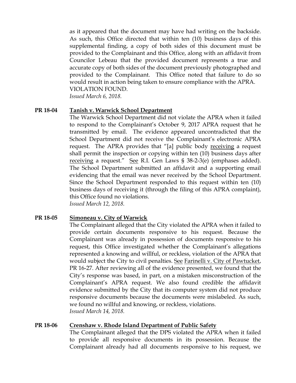as it appeared that the document may have had writing on the backside. As such, this Office directed that within ten (10) business days of this supplemental finding, a copy of both sides of this document must be provided to the Complainant and this Office, along with an affidavit from Councilor Lebeau that the provided document represents a true and accurate copy of both sides of the document previously photographed and provided to the Complainant. This Office noted that failure to do so would result in action being taken to ensure compliance with the APRA. VIOLATION FOUND.

*Issued March 6, 2018.*

## **PR 18-04 Tanish v. Warwick School Department**

The Warwick School Department did not violate the APRA when it failed to respond to the Complainant's October 9, 2017 APRA request that he transmitted by email. The evidence appeared uncontradicted that the School Department did not receive the Complainant's electronic APRA request. The APRA provides that "[a] public body receiving a request shall permit the inspection or copying within ten (10) business days after receiving a request." See R.I. Gen Laws § 38-2-3(e) (emphases added). The School Department submitted an affidavit and a supporting email evidencing that the email was never received by the School Department. Since the School Department responded to this request within ten (10) business days of receiving it (through the filing of this APRA complaint), this Office found no violations. *Issued March 12, 2018.*

## **PR 18-05 Simoneau v. City of Warwick**

The Complainant alleged that the City violated the APRA when it failed to provide certain documents responsive to his request. Because the Complainant was already in possession of documents responsive to his request, this Office investigated whether the Complainant's allegations represented a knowing and willful, or reckless, violation of the APRA that would subject the City to civil penalties. See Farinelli v. City of Pawtucket, PR 16-27. After reviewing all of the evidence presented, we found that the City's response was based, in part, on a mistaken misconstruction of the Complainant's APRA request. We also found credible the affidavit evidence submitted by the City that its computer system did not produce responsive documents because the documents were mislabeled. As such, we found no willful and knowing, or reckless, violations. *Issued March 14, 2018.*

## **PR 18-06 Crenshaw v. Rhode Island Department of Public Safety**

The Complainant alleged that the DPS violated the APRA when it failed to provide all responsive documents in its possession. Because the Complainant already had all documents responsive to his request, we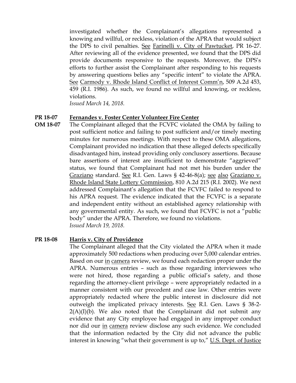investigated whether the Complainant's allegations represented a knowing and willful, or reckless, violation of the APRA that would subject the DPS to civil penalties. See Farinelli v. City of Pawtucket, PR 16-27. After reviewing all of the evidence presented, we found that the DPS did provide documents responsive to the requests. Moreover, the DPS's efforts to further assist the Complainant after responding to his requests by answering questions belies any "specific intent" to violate the APRA. See Carmody v. Rhode Island Conflict of Interest Comm'n, 509 A.2d 453, 459 (R.I. 1986). As such, we found no willful and knowing, or reckless, violations.

*Issued March 14, 2018.*

#### **PR 18-07 Fernandes v. Foster Center Volunteer Fire Center**

**OM 18-07** The Complainant alleged that the FCVFC violated the OMA by failing to post sufficient notice and failing to post sufficient and/or timely meeting minutes for numerous meetings. With respect to these OMA allegations, Complainant provided no indication that these alleged defects specifically disadvantaged him, instead providing only conclusory assertions. Because bare assertions of interest are insufficient to demonstrate "aggrieved" status, we found that Complainant had not met his burden under the Graziano standard. See R.I. Gen. Laws § 42-46-8(a); see also Graziano v. Rhode Island State Lottery Commission, 810 A.2d 215 (R.I. 2002). We next addressed Complainant's allegation that the FCVFC failed to respond to his APRA request. The evidence indicated that the FCVFC is a separate and independent entity without an established agency relationship with any governmental entity. As such, we found that FCVFC is not a "public body" under the APRA. Therefore, we found no violations. *Issued March 19, 2018.*

#### **PR 18-08 Harris v. City of Providence**

The Complainant alleged that the City violated the APRA when it made approximately 500 redactions when producing over 5,000 calendar entries. Based on our in camera review, we found each redaction proper under the APRA. Numerous entries – such as those regarding interviewees who were not hired, those regarding a public official's safety, and those regarding the attorney-client privilege – were appropriately redacted in a manner consistent with our precedent and case law. Other entries were appropriately redacted where the public interest in disclosure did not outweigh the implicated privacy interests. See R.I. Gen. Laws § 38-2-  $2(A)(I)(b)$ . We also noted that the Complainant did not submit any evidence that any City employee had engaged in any improper conduct nor did our in camera review disclose any such evidence. We concluded that the information redacted by the City did not advance the public interest in knowing "what their government is up to," U.S. Dept. of Justice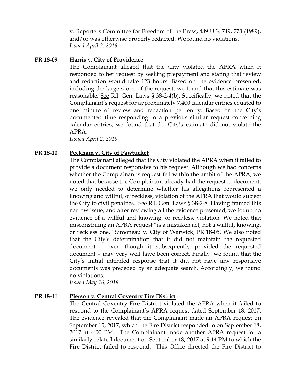v. Reporters Committee for Freedom of the Press, 489 U.S. 749, 773 (1989), and/or was otherwise properly redacted. We found no violations. *Issued April 2, 2018.*

## **PR 18-09 Harris v. City of Providence**

The Complainant alleged that the City violated the APRA when it responded to her request by seeking prepayment and stating that review and redaction would take 123 hours. Based on the evidence presented, including the large scope of the request, we found that this estimate was reasonable. See R.I. Gen. Laws § 38-2-4(b). Specifically, we noted that the Complainant's request for approximately 7,400 calendar entries equated to one minute of review and redaction per entry. Based on the City's documented time responding to a previous similar request concerning calendar entries, we found that the City's estimate did not violate the APRA.

*Issued April 2, 2018.*

## **PR 18-10 Peckham v. City of Pawtucket**

The Complainant alleged that the City violated the APRA when it failed to provide a document responsive to his request. Although we had concerns whether the Complainant's request fell within the ambit of the APRA, we noted that because the Complainant already had the requested document, we only needed to determine whether his allegations represented a knowing and willful, or reckless, violation of the APRA that would subject the City to civil penalties. See R.I. Gen. Laws § 38-2-8. Having framed this narrow issue, and after reviewing all the evidence presented, we found no evidence of a willful and knowing, or reckless, violation. We noted that misconstruing an APRA request "is a mistaken act, not a willful, knowing, or reckless one." Simoneau v. City of Warwick, PR 18-05. We also noted that the City's determination that it did not maintain the requested document – even though it subsequently provided the requested document – may very well have been correct. Finally, we found that the City's initial intended response that it did not have any responsive documents was preceded by an adequate search. Accordingly, we found no violations.

*Issued May 16, 2018.*

## **PR 18-11 Pierson v. Central Coventry Fire District**

The Central Coventry Fire District violated the APRA when it failed to respond to the Complainant's APRA request dated September 18, 2017. The evidence revealed that the Complainant made an APRA request on September 15, 2017, which the Fire District responded to on September 18, 2017 at 4:00 PM. The Complainant made another APRA request for a similarly-related document on September 18, 2017 at 9:14 PM to which the Fire District failed to respond. This Office directed the Fire District to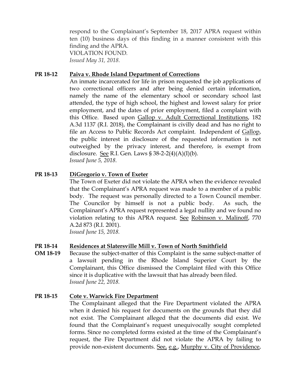respond to the Complainant's September 18, 2017 APRA request within ten (10) business days of this finding in a manner consistent with this finding and the APRA. VIOLATION FOUND*. Issued May 31, 2018.*

## **PR 18-12 Paiva v. Rhode Island Department of Corrections**

An inmate incarcerated for life in prison requested the job applications of two correctional officers and after being denied certain information, namely the name of the elementary school or secondary school last attended, the type of high school, the highest and lowest salary for prior employment, and the dates of prior employment, filed a complaint with this Office. Based upon Gallop v. Adult Correctional Institutions, 182 A.3d 1137 (R.I. 2018), the Complainant is civilly dead and has no right to file an Access to Public Records Act complaint. Independent of Gallop, the public interest in disclosure of the requested information is not outweighed by the privacy interest, and therefore, is exempt from disclosure. See R.I. Gen. Laws  $\S 38-2-2(4)(A)(I)(b)$ . *Issued June 5, 2018.*

# **PR 18-13 DiGregorio v. Town of Exeter**

The Town of Exeter did not violate the APRA when the evidence revealed that the Complainant's APRA request was made to a member of a public body. The request was personally directed to a Town Council member. The Councilor by himself is not a public body. As such, the Complainant's APRA request represented a legal nullity and we found no violation relating to this APRA request. See Robinson v. Malinoff, 770 A.2d 873 (R.I. 2001).

*Issued June 15, 2018.*

## **PR 18-14 Residences at Slatersville Mill v. Town of North Smithfield**

**OM 18-19** Because the subject-matter of this Complaint is the same subject-matter of a lawsuit pending in the Rhode Island Superior Court by the Complainant, this Office dismissed the Complaint filed with this Office since it is duplicative with the lawsuit that has already been filed. *Issued June 22, 2018.*

## **PR 18-15 Cote v. Warwick Fire Department**

The Complainant alleged that the Fire Department violated the APRA when it denied his request for documents on the grounds that they did not exist. The Complainant alleged that the documents did exist. We found that the Complainant's request unequivocally sought completed forms. Since no completed forms existed at the time of the Complainant's request, the Fire Department did not violate the APRA by failing to provide non-existent documents. See, e.g., Murphy v. City of Providence,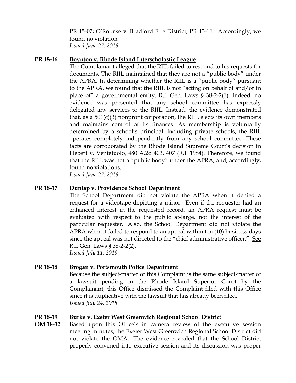PR 15-07; O'Rourke v. Bradford Fire District, PR 13-11. Accordingly, we found no violation. *Issued June 27, 2018.*

## **PR 18-16 Boynton v. Rhode Island Interscholastic League**

The Complainant alleged that the RIIL failed to respond to his requests for documents. The RIIL maintained that they are not a "public body" under the APRA. In determining whether the RIIL is a "public body" pursuant to the APRA, we found that the RIIL is not "acting on behalf of and/or in place of" a governmental entity. R.I. Gen. Laws § 38-2-2(1). Indeed, no evidence was presented that any school committee has expressly delegated any services to the RIIL. Instead, the evidence demonstrated that, as a  $501(c)(3)$  nonprofit corporation, the RIIL elects its own members and maintains control of its finances. As membership is voluntarily determined by a school's principal, including private schools, the RIIL operates completely independently from any school committee. These facts are corroborated by the Rhode Island Supreme Court's decision in Hebert v. Ventetuolo, 480 A.2d 403, 407 (R.I. 1984). Therefore, we found that the RIIL was not a "public body" under the APRA, and, accordingly, found no violations. *Issued June 27, 2018.*

## **PR 18-17 Dunlap v. Providence School Department**

The School Department did not violate the APRA when it denied a request for a videotape depicting a minor. Even if the requester had an enhanced interest in the requested record, an APRA request must be evaluated with respect to the public at-large, not the interest of the particular requester. Also, the School Department did not violate the APRA when it failed to respond to an appeal within ten (10) business days since the appeal was not directed to the "chief administrative officer." See R.I. Gen. Laws § 38-2-2(2). *Issued July 11, 2018.*

## **PR 18-18 Brogan v. Portsmouth Police Department**

Because the subject-matter of this Complaint is the same subject-matter of a lawsuit pending in the Rhode Island Superior Court by the Complainant, this Office dismissed the Complaint filed with this Office since it is duplicative with the lawsuit that has already been filed. *Issued July 24, 2018.*

# **PR 18-19 Burke v. Exeter West Greenwich Regional School District**

**OM 18-32** Based upon this Office's in camera review of the executive session meeting minutes, the Exeter West Greenwich Regional School District did not violate the OMA. The evidence revealed that the School District properly convened into executive session and its discussion was proper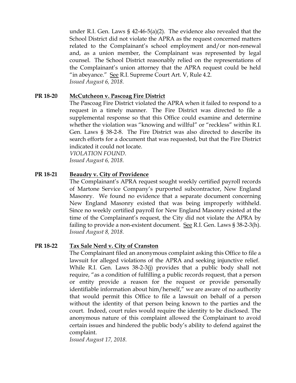under R.I. Gen. Laws § 42-46-5(a)(2). The evidence also revealed that the School District did not violate the APRA as the request concerned matters related to the Complainant's school employment and/or non-renewal and, as a union member, the Complainant was represented by legal counsel. The School District reasonably relied on the representations of the Complainant's union attorney that the APRA request could be held "in abeyance." See R.I. Supreme Court Art. V, Rule 4.2. *Issued August 6, 2018.*

## **PR 18-20 McCutcheon v. Pascoag Fire District**

The Pascoag Fire District violated the APRA when it failed to respond to a request in a timely manner. The Fire District was directed to file a supplemental response so that this Office could examine and determine whether the violation was "knowing and willful" or "reckless" within R.I. Gen. Laws § 38-2-8. The Fire District was also directed to describe its search efforts for a document that was requested, but that the Fire District indicated it could not locate.

*VIOLATION FOUND. Issued August 6, 2018.*

# **PR 18-21 Beaudry v. City of Providence**

The Complainant's APRA request sought weekly certified payroll records of Martone Service Company's purported subcontractor, New England Masonry. We found no evidence that a separate document concerning New England Masonry existed that was being improperly withheld. Since no weekly certified payroll for New England Masonry existed at the time of the Complainant's request, the City did not violate the APRA by failing to provide a non-existent document. See R.I. Gen. Laws § 38-2-3(h). *Issued August 8, 2018.*

## **PR 18-22 Tax Sale Nerd v. City of Cranston**

The Complainant filed an anonymous complaint asking this Office to file a lawsuit for alleged violations of the APRA and seeking injunctive relief. While R.I. Gen. Laws 38-2-3(j) provides that a public body shall not require, "as a condition of fulfilling a public records request, that a person or entity provide a reason for the request or provide personally identifiable information about him/herself," we are aware of no authority that would permit this Office to file a lawsuit on behalf of a person without the identity of that person being known to the parties and the court. Indeed, court rules would require the identity to be disclosed. The anonymous nature of this complaint allowed the Complainant to avoid certain issues and hindered the public body's ability to defend against the complaint.

*Issued August 17, 2018.*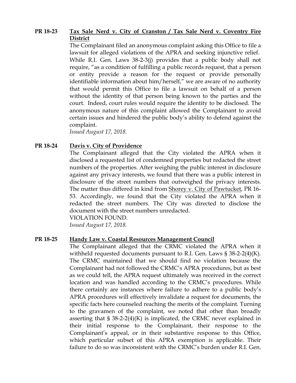## **PR 18-23 Tax Sale Nerd v. City of Cranston / Tax Sale Nerd v. Coventry Fire District**

The Complainant filed an anonymous complaint asking this Office to file a lawsuit for alleged violations of the APRA and seeking injunctive relief. While R.I. Gen. Laws 38-2-3(j) provides that a public body shall not require, "as a condition of fulfilling a public records request, that a person or entity provide a reason for the request or provide personally identifiable information about him/herself," we are aware of no authority that would permit this Office to file a lawsuit on behalf of a person without the identity of that person being known to the parties and the court. Indeed, court rules would require the identity to be disclosed. The anonymous nature of this complaint allowed the Complainant to avoid certain issues and hindered the public body's ability to defend against the complaint.

*Issued August 17, 2018.*

## **PR 18-24 Davis v. City of Providence**

The Complainant alleged that the City violated the APRA when it disclosed a requested list of condemned properties but redacted the street numbers of the properties. After weighing the public interest in disclosure against any privacy interests, we found that there was a public interest in disclosure of the street numbers that outweighed the privacy interests. The matter thus differed in kind from Shorey v. City of Pawtucket, PR 16- 53. Accordingly, we found that the City violated the APRA when it redacted the street numbers. The City was directed to disclose the document with the street numbers unredacted.

VIOLATION FOUND. *Issued August 17, 2018.*

## **PR 18-25 Handy Law v. Coastal Resources Management Council**

The Complainant alleged that the CRMC violated the APRA when it withheld requested documents pursuant to R.I. Gen. Laws § 38-2-2(4)(K). The CRMC maintained that we should find no violation because the Complainant had not followed the CRMC's APRA procedures, but as best as we could tell, the APRA request ultimately was received in the correct location and was handled according to the CRMC's procedures. While there certainly are instances where failure to adhere to a public body's APRA procedures will effectively invalidate a request for documents, the specific facts here counseled reaching the merits of the complaint. Turning to the gravamen of the complaint, we noted that other than broadly asserting that  $\S 38-2-2(4)(K)$  is implicated, the CRMC never explained in their initial response to the Complainant, their response to the Complainant's appeal, or in their substantive response to this Office, which particular subset of this APRA exemption is applicable. Their failure to do so was inconsistent with the CRMC's burden under R.I. Gen.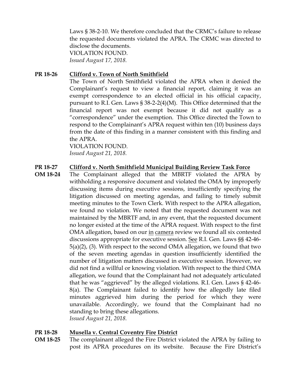Laws § 38-2-10. We therefore concluded that the CRMC's failure to release the requested documents violated the APRA. The CRMC was directed to disclose the documents. VIOLATION FOUND. *Issued August 17, 2018.*

## **PR 18-26 Clifford v. Town of North Smithfield**

The Town of North Smithfield violated the APRA when it denied the Complainant's request to view a financial report, claiming it was an exempt correspondence to an elected official in his official capacity, pursuant to R.I. Gen. Laws § 38-2-2(4)(M). This Office determined that the financial report was not exempt because it did not qualify as a "correspondence" under the exemption. This Office directed the Town to respond to the Complainant's APRA request within ten (10) business days from the date of this finding in a manner consistent with this finding and the APRA.

VIOLATION FOUND. *Issued August 21, 2018.*

## **PR 18-27 Clifford v. North Smithfield Municipal Building Review Task Force**

**OM 18-24** The Complainant alleged that the MBRTF violated the APRA by withholding a responsive document and violated the OMA by improperly discussing items during executive sessions, insufficiently specifying the litigation discussed on meeting agendas, and failing to timely submit meeting minutes to the Town Clerk. With respect to the APRA allegation, we found no violation. We noted that the requested document was not maintained by the MBRTF and, in any event, that the requested document no longer existed at the time of the APRA request. With respect to the first OMA allegation, based on our in camera review we found all six contested discussions appropriate for executive session. See R.I. Gen. Laws §§ 42-46- 5(a)(2), (3). With respect to the second OMA allegation, we found that two of the seven meeting agendas in question insufficiently identified the number of litigation matters discussed in executive session. However, we did not find a willful or knowing violation. With respect to the third OMA allegation, we found that the Complainant had not adequately articulated that he was "aggrieved" by the alleged violations. R.I. Gen. Laws § 42-46- 8(a). The Complainant failed to identify how the allegedly late filed minutes aggrieved him during the period for which they were unavailable. Accordingly, we found that the Complainant had no standing to bring these allegations. *Issued August 21, 2018.*

## **PR 18-28 Musella v. Central Coventry Fire District**

**OM 18-25** The complainant alleged the Fire District violated the APRA by failing to post its APRA procedures on its website. Because the Fire District's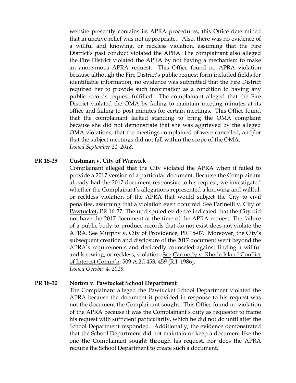website presently contains its APRA procedures, this Office determined that injunctive relief was not appropriate. Also, there was no evidence of a willful and knowing, or reckless violation, assuming that the Fire District's past conduct violated the APRA. The complainant also alleged the Fire District violated the APRA by not having a mechanism to make an anonymous APRA request. This Office found no APRA violation because although the Fire District's public request form included fields for identifiable information, no evidence was submitted that the Fire District required her to provide such information as a condition to having any public records request fulfilled. The complainant alleged that the Fire District violated the OMA by failing to maintain meeting minutes at its office and failing to post minutes for certain meetings. This Office found that the complainant lacked standing to bring the OMA complaint because she did not demonstrate that she was aggrieved by the alleged OMA violations, that the meetings complained of were cancelled, and/or that the subject meetings did not fall within the scope of the OMA. *Issued September 21, 2018.*

#### **PR 18-29 Cushman v. City of Warwick**

Complainant alleged that the City violated the APRA when it failed to provide a 2017 version of a particular document. Because the Complainant already had the 2017 document responsive to his request, we investigated whether the Complainant's allegations represented a knowing and willful, or reckless violation of the APRA that would subject the City to civil penalties, assuming that a violation even occurred. See Farinelli v. City of Pawtucket, PR 16-27. The undisputed evidence indicated that the City did not have the 2017 document at the time of the APRA request. The failure of a public body to produce records that do not exist does not violate the APRA. See Murphy v. City of Providence, PR 15-07. Moreover, the City's subsequent creation and disclosure of the 2017 document went beyond the APRA's requirements and decidedly counseled against finding a willful and knowing, or reckless, violation. See Carmody v. Rhode Island Conflict of Interest Comm'n, 509 A.2d 453, 459 (R.I. 1986). *Issued October 4, 2018.*

## **PR 18-30 Norton v. Pawtucket School Department**

The Complainant alleged the Pawtucket School Department violated the APRA because the document it provided in response to his request was not the document the Complainant sought. This Office found no violation of the APRA because it was the Complainant's duty as requestor to frame his request with sufficient particularity, which he did not do until after the School Department responded. Additionally, the evidence demonstrated that the School Department did not maintain or keep a document like the one the Complainant sought through his request, nor does the APRA require the School Department to create such a document.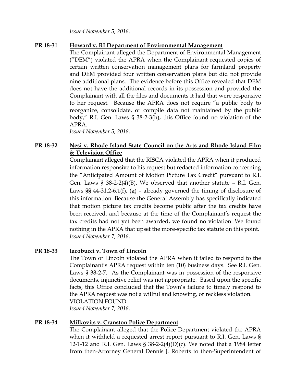*Issued November 5, 2018.*

# **PR 18-31 Howard v. RI Department of Environmental Management**

The Complainant alleged the Department of Environmental Management ("DEM") violated the APRA when the Complainant requested copies of certain written conservation management plans for farmland property and DEM provided four written conservation plans but did not provide nine additional plans. The evidence before this Office revealed that DEM does not have the additional records in its possession and provided the Complainant with all the files and documents it had that were responsive to her request. Because the APRA does not require "a public body to reorganize, consolidate, or compile data not maintained by the public body," R.I. Gen. Laws § 38-2-3(h), this Office found no violation of the APRA.

*Issued November 5, 2018.* 

# **PR 18-32 Nesi v. Rhode Island State Council on the Arts and Rhode Island Film & Television Office**

Complainant alleged that the RISCA violated the APRA when it produced information responsive to his request but redacted information concerning the "Anticipated Amount of Motion Picture Tax Credit" pursuant to R.I. Gen. Laws § 38-2-2(4)(B). We observed that another statute – R.I. Gen. Laws  $\S$ § 44-31.2-6.1(f), (g) – already governed the timing of disclosure of this information. Because the General Assembly has specifically indicated that motion picture tax credits become public after the tax credits have been received, and because at the time of the Complainant's request the tax credits had not yet been awarded, we found no violation. We found nothing in the APRA that upset the more-specific tax statute on this point. *Issued November 7, 2018.*

# **PR 18-33 Iacobucci v. Town of Lincoln**

The Town of Lincoln violated the APRA when it failed to respond to the Complainant's APRA request within ten (10) business days. See R.I. Gen. Laws § 38-2-7. As the Complainant was in possession of the responsive documents, injunctive relief was not appropriate. Based upon the specific facts, this Office concluded that the Town's failure to timely respond to the APRA request was not a willful and knowing, or reckless violation. VIOLATION FOUND.

*Issued November 7, 2018.*

## **PR 18-34 Milkovits v. Cranston Police Department**

The Complainant alleged that the Police Department violated the APRA when it withheld a requested arrest report pursuant to R.I. Gen. Laws § 12-1-12 and R.I. Gen. Laws §  $38-2-2(4)(D)(c)$ . We noted that a 1984 letter from then-Attorney General Dennis J. Roberts to then-Superintendent of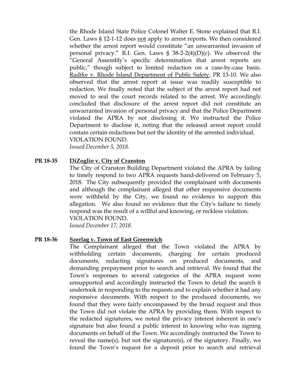the Rhode Island State Police Colonel Walter E. Stone explained that R.I. Gen. Laws § 12-1-12 does not apply to arrest reports. We then considered whether the arrest report would constitute "an unwarranted invasion of personal privacy." R.I. Gen. Laws § 38-2-2(4)(D)(c). We observed the "General Assembly's specific determination that arrest reports are public," though subject to limited redaction on a case-by-case basis. Radtke v. Rhode Island Department of Public Safety, PR 13-10. We also observed that the arrest report at issue was readily susceptible to redaction. We finally noted that the subject of the arrest report had not moved to seal the court records related to the arrest. We accordingly concluded that disclosure of the arrest report did not constitute an unwarranted invasion of personal privacy and that the Police Department violated the APRA by not disclosing it. We instructed the Police Department to disclose it, noting that the released arrest report could contain certain redactions but not the identity of the arrested individual. VIOLATION FOUND.

*Issued December 5, 2018.*

## **PR 18-35 DiZoglio v. City of Cranston**

The City of Cranston Building Department violated the APRA by failing to timely respond to two APRA requests hand-delivered on February 5, 2018. The City subsequently provided the complainant with documents and although the complainant alleged that other responsive documents were withheld by the City, we found no evidence to support this allegation. We also found no evidence that the City's failure to timely respond was the result of a willful and knowing, or reckless violation. VIOLATION FOUND.

*Issued December 17, 2018.*

#### **PR 18-36 Szerlag v. Town of East Greenwich**

The Complainant alleged that the Town violated the APRA by withholding certain documents, charging for certain produced documents, redacting signatures on produced documents, and demanding prepayment prior to search and retrieval. We found that the Town's responses to several categories of the APRA request were unsupported and accordingly instructed the Town to detail the search it undertook in responding to the requests and to explain whether it had any responsive documents. With respect to the produced documents, we found that they were fairly encompassed by the broad request and thus the Town did not violate the APRA by providing them. With respect to the redacted signatures, we noted the privacy interest inherent in one's signature but also found a public interest in knowing who was signing documents on behalf of the Town. We accordingly instructed the Town to reveal the name(s), but not the signature(s), of the signatory. Finally, we found the Town's request for a deposit prior to search and retrieval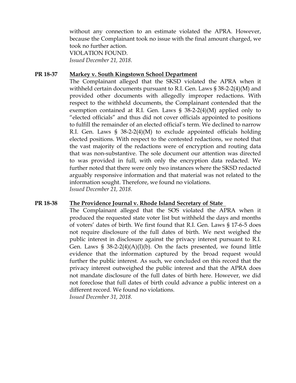without any connection to an estimate violated the APRA. However, because the Complainant took no issue with the final amount charged, we took no further action. VIOLATION FOUND.

*Issued December 21, 2018.*

#### **PR 18-37 Markey v. South Kingstown School Department**

The Complainant alleged that the SKSD violated the APRA when it withheld certain documents pursuant to R.I. Gen. Laws § 38-2-2(4)(M) and provided other documents with allegedly improper redactions. With respect to the withheld documents, the Complainant contended that the exemption contained at R.I. Gen. Laws § 38-2-2(4)(M) applied only to "elected officials" and thus did not cover officials appointed to positions to fulfill the remainder of an elected official's term. We declined to narrow R.I. Gen. Laws § 38-2-2(4)(M) to exclude appointed officials holding elected positions. With respect to the contested redactions, we noted that the vast majority of the redactions were of encryption and routing data that was non-substantive. The sole document our attention was directed to was provided in full, with only the encryption data redacted. We further noted that there were only two instances where the SKSD redacted arguably responsive information and that material was not related to the information sought. Therefore, we found no violations. *Issued December 21, 2018.*

#### **PR 18-38 The Providence Journal v. Rhode Island Secretary of State**

The Complainant alleged that the SOS violated the APRA when it produced the requested state voter list but withheld the days and months of voters' dates of birth. We first found that R.I. Gen. Laws § 17-6-5 does not require disclosure of the full dates of birth. We next weighed the public interest in disclosure against the privacy interest pursuant to R.I. Gen. Laws § 38-2-2(4)(A)(I)(b). On the facts presented, we found little evidence that the information captured by the broad request would further the public interest. As such, we concluded on this record that the privacy interest outweighed the public interest and that the APRA does not mandate disclosure of the full dates of birth here. However, we did not foreclose that full dates of birth could advance a public interest on a different record. We found no violations. *Issued December 31, 2018.*